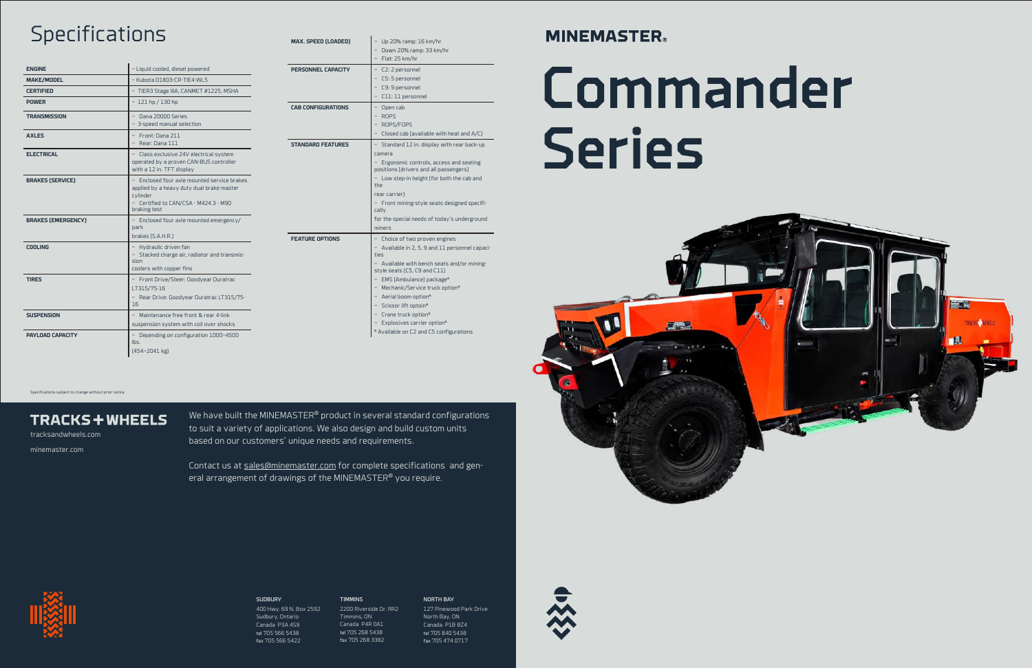# Commander Series



Specifications subject to change without prior notice

### **TRACKS + WHEELS**

tracksandwheels.com

minemaster.com

We have built the MINEMASTER® product in several standard configurations to suit a variety of applications. We also design and build custom units based on our customers' unique needs and requirements.

Contact us at sales@minemaster.com for complete specifications and general arrangement of drawings of the MINEMASTER® you require.

> **SUDBURY** 400 Hwy. 69 N. Box 2592 Sudbury, Ontario Canada P3A 4S9 tel 705 566 5438 fax 705 566 5422

TIMMINS

2200 Riverside Dr. RR2 Timmins, ON Canada P4R 0A1

tel 705 268 5438 fax 705 268 3382



NORTH BAY 127 Pinewood Park Drive North Bay, ON Canada P1B 8Z4 tel 705 840 5438 fax 705 474 0717



## **Specifications**

| <b>ENGINE</b>             | - Liquid cooled, diesel powered                                                                                                                               |
|---------------------------|---------------------------------------------------------------------------------------------------------------------------------------------------------------|
| <b>MAKE/MODEL</b>         | $-K$ uhota D1803-CR-TIE4-WL5                                                                                                                                  |
| <b>CERTIFIED</b>          | - TIER3 Stage IIIA, CANMET #1225, MSHA                                                                                                                        |
| <b>POWER</b>              | $-121$ hp / 130 hp                                                                                                                                            |
| <b>TRANSMISSION</b>       | $-$ Dana 20000 Series<br>- 3-speed manual selection                                                                                                           |
| <b>AXLES</b>              | - Front: Dana 211<br>- Rear: Dana 111                                                                                                                         |
| <b>ELECTRICAL</b>         | - Class exclusive 24V electrical system<br>operated by a proven CAN-BUS controller<br>with a 12 in. TFT display                                               |
| <b>BRAKES (SERVICE)</b>   | - Enclosed four axle mounted service brakes<br>applied by a heavy duty dual brake master<br>cylinder<br>- Certified to CAN/CSA - M424.3 - M90<br>braking test |
| <b>BRAKES (EMERGENCY)</b> | Enclosed four axle mounted emergency/<br>park<br>brakes (S.A.H.R.)                                                                                            |
| <b>COOLING</b>            | - Hydraulic driven fan<br>- Stacked charge air, radiator and transmis-<br>sion<br>coolers with copper fins                                                    |
| <b>TIRES</b>              | - Front Drive/Steer: Goodyear Duratrac<br>LT315/75-16<br>- Rear Drive: Goodyear Duratrac LT315/75-<br>16                                                      |
| <b>SUSPENSION</b>         | - Maintenance free front & rear 4-link<br>suspension system with coil over shocks                                                                             |
| PAYLOAD CAPACITY          | - Depending on configuration 1000-4500<br>lbs.<br>$(454 - 2041$ kg)                                                                                           |

| <b>MAX. SPEED (LOADED)</b> | Up 20% ramp: 16 km/hr<br>- Down 20% ramp: 33 km/hr<br>Flat: 25 km/hr                                                                                                                                                                                                                                                                                                              |
|----------------------------|-----------------------------------------------------------------------------------------------------------------------------------------------------------------------------------------------------------------------------------------------------------------------------------------------------------------------------------------------------------------------------------|
| PERSONNEL CAPACITY         | C2: 2 personnel<br>C5: 5 personnel<br>C9: 9 personnel<br>C11: 11 personnel                                                                                                                                                                                                                                                                                                        |
| <b>CAB CONFIGURATIONS</b>  | Open cab<br><b>ROPS</b><br>ROPS/FOPS<br>Closed cab (available with heat and $A/C$ )                                                                                                                                                                                                                                                                                               |
| <b>STANDARD FEATURES</b>   | Standard 12 in. display with rear back-up<br>camera<br>Ergonomic controls, access and seating<br>positions (drivers and all passengers)<br>Low step-in height (for both the cab and<br>the<br>rear carrier)<br>Front mining-style seats designed specifi-<br>cally<br>for the special needs of today's underground<br>miners                                                      |
| <b>FEATURE OPTIONS</b>     | Choice of two proven engines<br>Available in 2, 5, 9 and 11 personnel capaci-<br>ties<br>Available with bench seats and/or mining-<br>style seats (C5, C9 and C11)<br>EMS (Ambulance) package*<br>Mechanic/Service truck option*<br>- Aerial boom option*<br>Scissor lift optoin*<br>Crane truck option*<br>Explosives carrier option*<br>* Available on C2 and C5 configurations |

### **MINEMASTER**